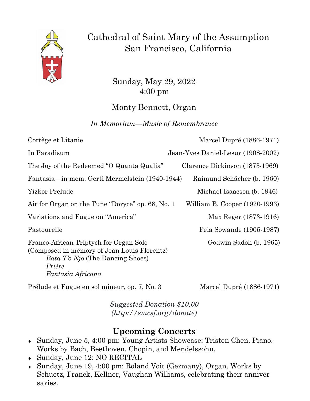

## Cathedral of Saint Mary of the Assumption San Francisco, California

 Sunday, May 29, 2022 4:00 pm

## Monty Bennett, Organ

*In Memoriam—Music of Remembrance*

| Cortège et Litanie                                                                                                                                                     | Marcel Dupré (1886-1971)           |
|------------------------------------------------------------------------------------------------------------------------------------------------------------------------|------------------------------------|
| In Paradisum                                                                                                                                                           | Jean-Yves Daniel-Lesur (1908-2002) |
| The Joy of the Redeemed "O Quanta Qualia"                                                                                                                              | Clarence Dickinson (1873-1969)     |
| Fantasia—in mem. Gerti Mermelstein (1940-1944)                                                                                                                         | Raimund Schächer (b. 1960)         |
| Yizkor Prelude                                                                                                                                                         | Michael Isaacson (b. 1946)         |
| Air for Organ on the Tune "Doryce" op. 68, No. 1                                                                                                                       | William B. Cooper (1920-1993)      |
| Variations and Fugue on "America"                                                                                                                                      | Max Reger (1873-1916)              |
| Pastourelle                                                                                                                                                            | Fela Sowande (1905-1987)           |
| Franco-African Triptych for Organ Solo<br>(Composed in memory of Jean Louis Florentz)<br><i>Bata T'o Njo</i> (The Dancing Shoes)<br>Prière<br><i>Fantasia Africana</i> | Godwin Sadoh (b. 1965)             |

Prélude et Fugue en sol mineur, op. 7, No. 3 Marcel Dupré (1886-1971)

*Suggested Donation \$10.00 (http://smcsf.org/donate)*

## **Upcoming Concerts**

- Sunday, June 5, 4:00 pm: Young Artists Showcase: Tristen Chen, Piano. Works by Bach, Beethoven, Chopin, and Mendelssohn.
- Sunday, June 12: NO RECITAL
- Sunday, June 19, 4:00 pm: Roland Voit (Germany), Organ. Works by Schuetz, Franck, Kellner, Vaughan Williams, celebrating their anniversaries.